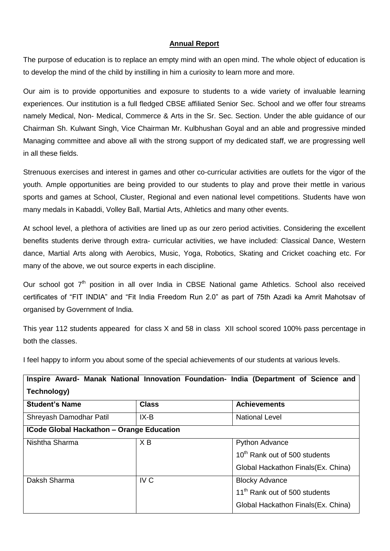## **Annual Report**

The purpose of education is to replace an empty mind with an open mind. The whole object of education is to develop the mind of the child by instilling in him a curiosity to learn more and more.

Our aim is to provide opportunities and exposure to students to a wide variety of invaluable learning experiences. Our institution is a full fledged CBSE affiliated Senior Sec. School and we offer four streams namely Medical, Non- Medical, Commerce & Arts in the Sr. Sec. Section. Under the able guidance of our Chairman Sh. Kulwant Singh, Vice Chairman Mr. Kulbhushan Goyal and an able and progressive minded Managing committee and above all with the strong support of my dedicated staff, we are progressing well in all these fields.

Strenuous exercises and interest in games and other co-curricular activities are outlets for the vigor of the youth. Ample opportunities are being provided to our students to play and prove their mettle in various sports and games at School, Cluster, Regional and even national level competitions. Students have won many medals in Kabaddi, Volley Ball, Martial Arts, Athletics and many other events.

At school level, a plethora of activities are lined up as our zero period activities. Considering the excellent benefits students derive through extra- curricular activities, we have included: Classical Dance, Western dance, Martial Arts along with Aerobics, Music, Yoga, Robotics, Skating and Cricket coaching etc. For many of the above, we out source experts in each discipline.

Our school got  $7<sup>th</sup>$  position in all over India in CBSE National game Athletics. School also received certificates of "FIT INDIA" and "Fit India Freedom Run 2.0" as part of 75th Azadi ka Amrit Mahotsav of organised by Government of India.

This year 112 students appeared for class X and 58 in class XII school scored 100% pass percentage in both the classes.

I feel happy to inform you about some of the special achievements of our students at various levels.

| Inspire Award- Manak National Innovation Foundation- India (Department of Science and |                 |                                           |  |  |  |  |  |  |
|---------------------------------------------------------------------------------------|-----------------|-------------------------------------------|--|--|--|--|--|--|
| Technology)                                                                           |                 |                                           |  |  |  |  |  |  |
| <b>Student's Name</b>                                                                 | <b>Class</b>    | <b>Achievements</b>                       |  |  |  |  |  |  |
| Shreyash Damodhar Patil                                                               | IX-B            | <b>National Level</b>                     |  |  |  |  |  |  |
| <b>ICode Global Hackathon - Orange Education</b>                                      |                 |                                           |  |  |  |  |  |  |
| Nishtha Sharma                                                                        | X <sub>B</sub>  | <b>Python Advance</b>                     |  |  |  |  |  |  |
|                                                                                       |                 | 10 <sup>th</sup> Rank out of 500 students |  |  |  |  |  |  |
|                                                                                       |                 | Global Hackathon Finals (Ex. China)       |  |  |  |  |  |  |
| Daksh Sharma                                                                          | IV <sub>C</sub> | <b>Blocky Advance</b>                     |  |  |  |  |  |  |
|                                                                                       |                 | 11 <sup>th</sup> Rank out of 500 students |  |  |  |  |  |  |
|                                                                                       |                 | Global Hackathon Finals (Ex. China)       |  |  |  |  |  |  |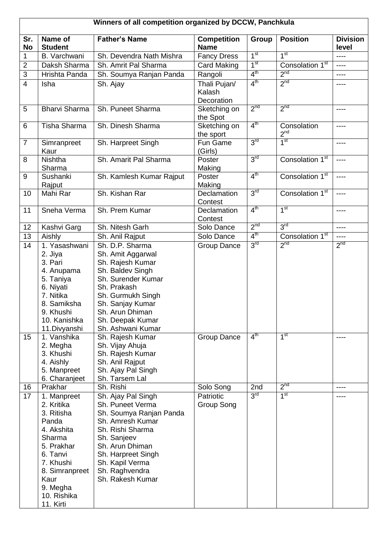| Winners of all competition organized by DCCW, Panchkula |                                                                                                                                                                                   |                                                                                                                                                                                                                            |                                      |                 |                                |                          |  |  |
|---------------------------------------------------------|-----------------------------------------------------------------------------------------------------------------------------------------------------------------------------------|----------------------------------------------------------------------------------------------------------------------------------------------------------------------------------------------------------------------------|--------------------------------------|-----------------|--------------------------------|--------------------------|--|--|
| Sr.<br><b>No</b>                                        | Name of<br><b>Student</b>                                                                                                                                                         | <b>Father's Name</b>                                                                                                                                                                                                       | <b>Competition</b><br><b>Name</b>    | Group           | <b>Position</b>                | <b>Division</b><br>level |  |  |
| 1                                                       | B. Varchwani                                                                                                                                                                      | Sh. Devendra Nath Mishra                                                                                                                                                                                                   | <b>Fancy Dress</b>                   | 1 <sup>st</sup> | 1 <sup>st</sup>                | ----                     |  |  |
| $\overline{2}$                                          | Daksh Sharma                                                                                                                                                                      | Sh. Amrit Pal Sharma                                                                                                                                                                                                       | <b>Card Making</b>                   | 1 <sup>st</sup> | Consolation 1 <sup>st</sup>    | $---$                    |  |  |
| $\overline{3}$                                          | Hrishta Panda                                                                                                                                                                     | Sh. Soumya Ranjan Panda                                                                                                                                                                                                    | Rangoli                              | 4 <sup>th</sup> | 2 <sup>nd</sup>                | ----                     |  |  |
| 4                                                       | Isha                                                                                                                                                                              | Sh. Ajay                                                                                                                                                                                                                   | Thali Pujan/<br>Kalash<br>Decoration | 4 <sup>th</sup> | 2 <sup>nd</sup>                | ----                     |  |  |
| 5                                                       | <b>Bharvi Sharma</b>                                                                                                                                                              | Sh. Puneet Sharma                                                                                                                                                                                                          | Sketching on<br>the Spot             | 2 <sup>nd</sup> | 2 <sup>nd</sup>                | ----                     |  |  |
| 6                                                       | Tisha Sharma                                                                                                                                                                      | Sh. Dinesh Sharma                                                                                                                                                                                                          | Sketching on<br>the sport            | 4 <sup>th</sup> | Consolation<br>2 <sup>nd</sup> | ----                     |  |  |
| $\overline{7}$                                          | Simranpreet<br>Kaur                                                                                                                                                               | Sh. Harpreet Singh                                                                                                                                                                                                         | Fun Game<br>(Girls)                  | 3 <sup>rd</sup> | 1 <sup>st</sup>                | ----                     |  |  |
| 8                                                       | <b>Nishtha</b><br>Sharma                                                                                                                                                          | Sh. Amarit Pal Sharma                                                                                                                                                                                                      | Poster<br>Making                     | 3 <sup>rd</sup> | Consolation 1 <sup>st</sup>    | ----                     |  |  |
| 9                                                       | Sushanki<br>Rajput                                                                                                                                                                | Sh. Kamlesh Kumar Rajput                                                                                                                                                                                                   | Poster<br>Making                     | 4 <sup>th</sup> | Consolation 1 <sup>st</sup>    | ----                     |  |  |
| 10                                                      | Mahi Rar                                                                                                                                                                          | Sh. Kishan Rar                                                                                                                                                                                                             | Declamation<br>Contest               | 3 <sup>rd</sup> | Consolation 1 <sup>st</sup>    | ----                     |  |  |
| 11                                                      | Sneha Verma                                                                                                                                                                       | Sh. Prem Kumar                                                                                                                                                                                                             | Declamation<br>Contest               | 4 <sup>th</sup> | 1 <sup>st</sup>                | ----                     |  |  |
| 12                                                      | Kashvi Garg                                                                                                                                                                       | Sh. Nitesh Garh                                                                                                                                                                                                            | Solo Dance                           | 2 <sup>nd</sup> | 3 <sup>rd</sup>                | $\cdots$                 |  |  |
| 13                                                      | Aishly                                                                                                                                                                            | Sh. Anil Rajput                                                                                                                                                                                                            | Solo Dance                           | 4 <sup>th</sup> | Consolation 1 <sup>st</sup>    | $---$                    |  |  |
| 14                                                      | 1. Yasashwani<br>2. Jiya<br>3. Pari<br>4. Anupama<br>5. Taniya<br>6. Niyati<br>7. Nitika<br>8. Samiksha<br>9. Khushi<br>10. Kanishka<br>11. Divyanshi                             | Sh. D.P. Sharma<br>Sh. Amit Aggarwal<br>Sh. Rajesh Kumar<br>Sh. Baldev Singh<br>Sh. Surender Kumar<br>Sh. Prakash<br>Sh. Gurmukh Singh<br>Sh. Sanjay Kumar<br>Sh. Arun Dhiman<br>Sh. Deepak Kumar<br>Sh. Ashwani Kumar     | Group Dance                          | 3 <sup>rd</sup> | 2 <sup>nd</sup>                | 2 <sup>nd</sup>          |  |  |
| 15                                                      | 1. Vanshika<br>2. Megha<br>3. Khushi<br>4. Aishly<br>5. Manpreet<br>6. Charanjeet                                                                                                 | Sh. Rajesh Kumar<br>Sh. Vijay Ahuja<br>Sh. Rajesh Kumar<br>Sh. Anil Rajput<br>Sh. Ajay Pal Singh<br>Sh. Tarsem Lal                                                                                                         | Group Dance                          | $4^{\text{th}}$ | 1 <sup>st</sup>                | $---$                    |  |  |
| 16                                                      | Prakhar                                                                                                                                                                           | Sh. Rishi                                                                                                                                                                                                                  | Solo Song                            | 2nd             | 2 <sup>nd</sup>                | ----                     |  |  |
| 17                                                      | 1. Manpreet<br>2. Kritika<br>3. Ritisha<br>Panda<br>4. Akshita<br>Sharma<br>5. Prakhar<br>6. Tanvi<br>7. Khushi<br>8. Simranpreet<br>Kaur<br>9. Megha<br>10. Rishika<br>11. Kirti | Sh. Ajay Pal Singh<br>Sh. Puneet Verma<br>Sh. Soumya Ranjan Panda<br>Sh. Amresh Kumar<br>Sh. Rishi Sharma<br>Sh. Sanjeev<br>Sh. Arun Dhiman<br>Sh. Harpreet Singh<br>Sh. Kapil Verma<br>Sh. Raghvendra<br>Sh. Rakesh Kumar | Patriotic<br>Group Song              | 3 <sup>rd</sup> | 1 <sup>st</sup>                |                          |  |  |